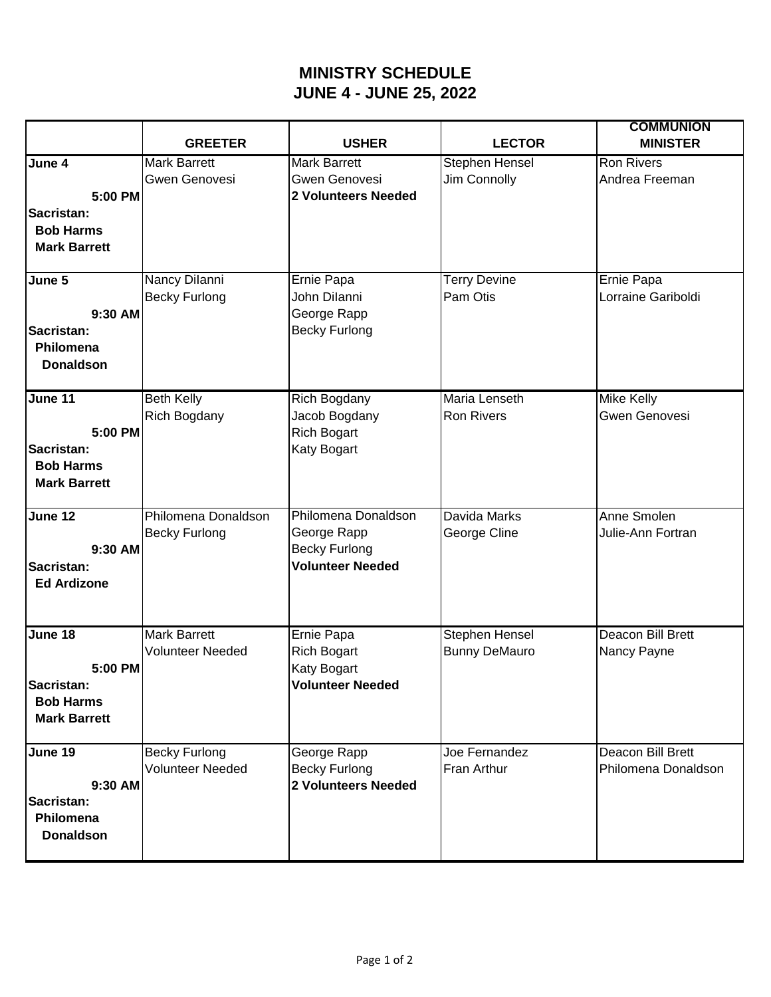## **MINISTRY SCHEDULE JUNE 4 - JUNE 25, 2022**

|                     | <b>GREETER</b>          | <b>USHER</b>                  | <b>LECTOR</b>         | <b>COMMUNION</b><br><b>MINISTER</b> |
|---------------------|-------------------------|-------------------------------|-----------------------|-------------------------------------|
| June 4              | <b>Mark Barrett</b>     | <b>Mark Barrett</b>           | <b>Stephen Hensel</b> | <b>Ron Rivers</b>                   |
|                     | Gwen Genovesi           | Gwen Genovesi                 | Jim Connolly          | Andrea Freeman                      |
| 5:00 PM             |                         | 2 Volunteers Needed           |                       |                                     |
| Sacristan:          |                         |                               |                       |                                     |
| <b>Bob Harms</b>    |                         |                               |                       |                                     |
| <b>Mark Barrett</b> |                         |                               |                       |                                     |
|                     |                         |                               |                       |                                     |
| June 5              | Nancy Dilanni           | Ernie Papa                    | <b>Terry Devine</b>   | Ernie Papa                          |
|                     | <b>Becky Furlong</b>    | John Dilanni                  | Pam Otis              | Lorraine Gariboldi                  |
| 9:30 AM             |                         | George Rapp                   |                       |                                     |
| Sacristan:          |                         | <b>Becky Furlong</b>          |                       |                                     |
| Philomena           |                         |                               |                       |                                     |
| <b>Donaldson</b>    |                         |                               |                       |                                     |
|                     | <b>Beth Kelly</b>       |                               | Maria Lenseth         |                                     |
| June 11             | <b>Rich Bogdany</b>     | Rich Bogdany<br>Jacob Bogdany | <b>Ron Rivers</b>     | <b>Mike Kelly</b><br>Gwen Genovesi  |
| 5:00 PM             |                         | <b>Rich Bogart</b>            |                       |                                     |
| Sacristan:          |                         | Katy Bogart                   |                       |                                     |
| <b>Bob Harms</b>    |                         |                               |                       |                                     |
| <b>Mark Barrett</b> |                         |                               |                       |                                     |
|                     |                         |                               |                       |                                     |
| June 12             | Philomena Donaldson     | Philomena Donaldson           | Davida Marks          | Anne Smolen                         |
|                     | <b>Becky Furlong</b>    | George Rapp                   | George Cline          | Julie-Ann Fortran                   |
| 9:30 AM             |                         | <b>Becky Furlong</b>          |                       |                                     |
| Sacristan:          |                         | <b>Volunteer Needed</b>       |                       |                                     |
| <b>Ed Ardizone</b>  |                         |                               |                       |                                     |
|                     |                         |                               |                       |                                     |
| June 18             | <b>Mark Barrett</b>     | Ernie Papa                    | Stephen Hensel        | Deacon Bill Brett                   |
|                     | <b>Volunteer Needed</b> | <b>Rich Bogart</b>            | <b>Bunny DeMauro</b>  | Nancy Payne                         |
| 5:00 PM             |                         | Katy Bogart                   |                       |                                     |
| Sacristan:          |                         | <b>Volunteer Needed</b>       |                       |                                     |
| <b>Bob Harms</b>    |                         |                               |                       |                                     |
| <b>Mark Barrett</b> |                         |                               |                       |                                     |
|                     |                         |                               |                       |                                     |
| June 19             | <b>Becky Furlong</b>    | George Rapp                   | Joe Fernandez         | Deacon Bill Brett                   |
|                     | <b>Volunteer Needed</b> | <b>Becky Furlong</b>          | Fran Arthur           | Philomena Donaldson                 |
| 9:30 AM             |                         | 2 Volunteers Needed           |                       |                                     |
| Sacristan:          |                         |                               |                       |                                     |
| Philomena           |                         |                               |                       |                                     |
| <b>Donaldson</b>    |                         |                               |                       |                                     |
|                     |                         |                               |                       |                                     |